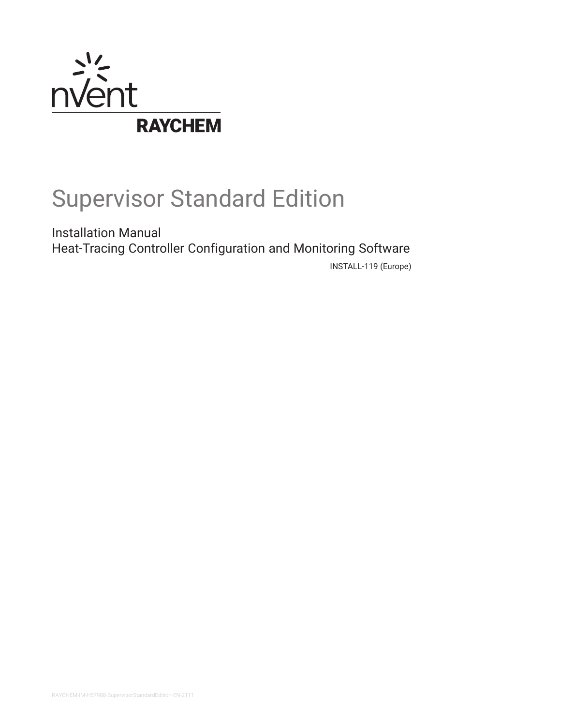

# Supervisor Standard Edition

Installation Manual Heat-Tracing Controller Configuration and Monitoring Software

INSTALL-119 (Europe)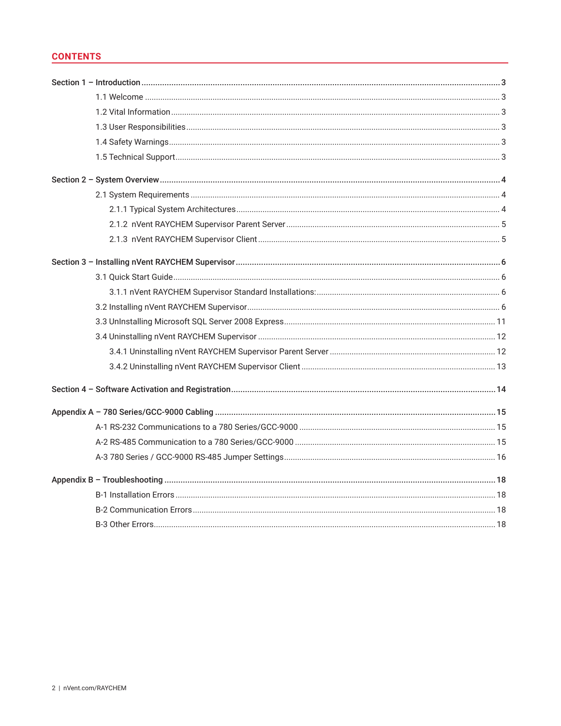# **CONTENTS**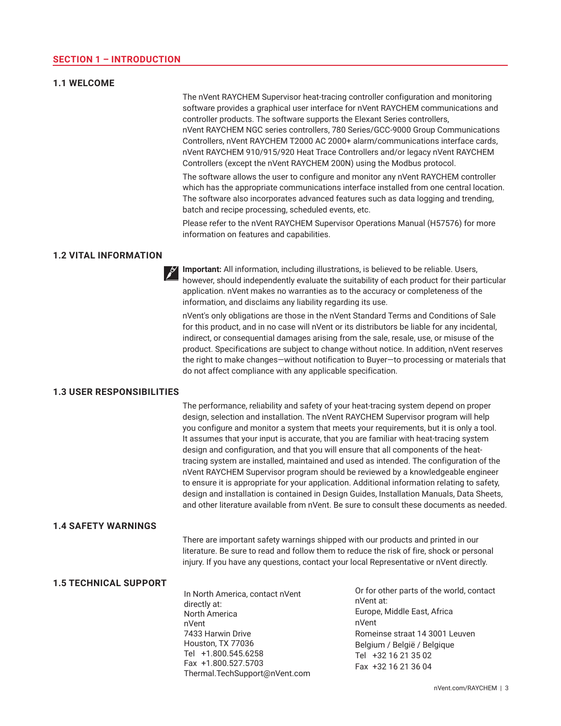## <span id="page-2-0"></span>**1.1 WELCOME**

The nVent RAYCHEM Supervisor heat-tracing controller configuration and monitoring software provides a graphical user interface for nVent RAYCHEM communications and controller products. The software supports the Elexant Series controllers, nVent RAYCHEM NGC series controllers, 780 Series/GCC-9000 Group Communications Controllers, nVent RAYCHEM T2000 AC 2000+ alarm/communications interface cards, nVent RAYCHEM 910/915/920 Heat Trace Controllers and/or legacy nVent RAYCHEM Controllers (except the nVent RAYCHEM 200N) using the Modbus protocol.

The software allows the user to configure and monitor any nVent RAYCHEM controller which has the appropriate communications interface installed from one central location. The software also incorporates advanced features such as data logging and trending, batch and recipe processing, scheduled events, etc.

Please refer to the nVent RAYCHEM Supervisor Operations Manual (H57576) for more information on features and capabilities.

## **1.2 VITAL INFORMATION**

**Important:** All information, including illustrations, is believed to be reliable. Users, however, should independently evaluate the suitability of each product for their particular application. nVent makes no warranties as to the accuracy or completeness of the information, and disclaims any liability regarding its use.

nVent's only obligations are those in the nVent Standard Terms and Conditions of Sale for this product, and in no case will nVent or its distributors be liable for any incidental, indirect, or consequential damages arising from the sale, resale, use, or misuse of the product. Specifications are subject to change without notice. In addition, nVent reserves the right to make changes—without notification to Buyer—to processing or materials that do not affect compliance with any applicable specification.

#### **1.3 USER RESPONSIBILITIES**

The performance, reliability and safety of your heat-tracing system depend on proper design, selection and installation. The nVent RAYCHEM Supervisor program will help you configure and monitor a system that meets your requirements, but it is only a tool. It assumes that your input is accurate, that you are familiar with heat-tracing system design and configuration, and that you will ensure that all components of the heattracing system are installed, maintained and used as intended. The configuration of the nVent RAYCHEM Supervisor program should be reviewed by a knowledgeable engineer to ensure it is appropriate for your application. Additional information relating to safety, design and installation is contained in Design Guides, Installation Manuals, Data Sheets, and other literature available from nVent. Be sure to consult these documents as needed.

# **1.4 SAFETY WARNINGS**

There are important safety warnings shipped with our products and printed in our literature. Be sure to read and follow them to reduce the risk of fire, shock or personal injury. If you have any questions, contact your local Representative or nVent directly.

#### **1.5 TECHNICAL SUPPORT**

In North America, contact nVent directly at: North America nVent 7433 Harwin Drive Houston, TX 77036 Tel +1.800.545.6258 Fax +1.800.527.5703 Thermal.TechSupport@nVent.com Or for other parts of the world, contact nVent at: Europe, Middle East, Africa nVent Romeinse straat 14 3001 Leuven Belgium / België / Belgique Tel +32 16 21 35 02 Fax +32 16 21 36 04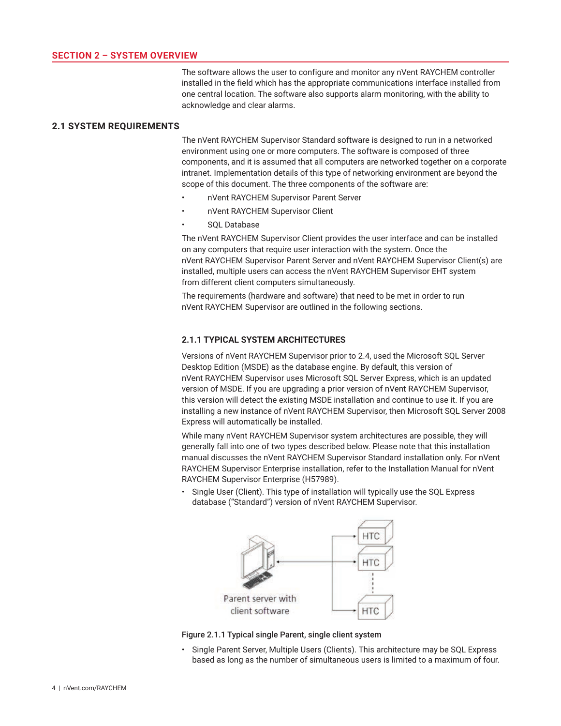The software allows the user to configure and monitor any nVent RAYCHEM controller installed in the field which has the appropriate communications interface installed from one central location. The software also supports alarm monitoring, with the ability to acknowledge and clear alarms.

# <span id="page-3-0"></span>**2.1 SYSTEM REQUIREMENTS**

The nVent RAYCHEM Supervisor Standard software is designed to run in a networked environment using one or more computers. The software is composed of three components, and it is assumed that all computers are networked together on a corporate intranet. Implementation details of this type of networking environment are beyond the scope of this document. The three components of the software are:

- nVent RAYCHEM Supervisor Parent Server
- nVent RAYCHEM Supervisor Client
- SOL Database

The nVent RAYCHEM Supervisor Client provides the user interface and can be installed on any computers that require user interaction with the system. Once the nVent RAYCHEM Supervisor Parent Server and nVent RAYCHEM Supervisor Client(s) are installed, multiple users can access the nVent RAYCHEM Supervisor EHT system from different client computers simultaneously.

The requirements (hardware and software) that need to be met in order to run nVent RAYCHEM Supervisor are outlined in the following sections.

## **2.1.1 TYPICAL SYSTEM ARCHITECTURES**

Versions of nVent RAYCHEM Supervisor prior to 2.4, used the Microsoft SQL Server Desktop Edition (MSDE) as the database engine. By default, this version of nVent RAYCHEM Supervisor uses Microsoft SQL Server Express, which is an updated version of MSDE. If you are upgrading a prior version of nVent RAYCHEM Supervisor, this version will detect the existing MSDE installation and continue to use it. If you are installing a new instance of nVent RAYCHEM Supervisor, then Microsoft SQL Server 2008 Express will automatically be installed.

While many nVent RAYCHEM Supervisor system architectures are possible, they will generally fall into one of two types described below. Please note that this installation manual discusses the nVent RAYCHEM Supervisor Standard installation only. For nVent RAYCHEM Supervisor Enterprise installation, refer to the Installation Manual for nVent RAYCHEM Supervisor Enterprise (H57989).

• Single User (Client). This type of installation will typically use the SQL Express database ("Standard") version of nVent RAYCHEM Supervisor.



Figure 2.1.1 Typical single Parent, single client system

• Single Parent Server, Multiple Users (Clients). This architecture may be SQL Express based as long as the number of simultaneous users is limited to a maximum of four.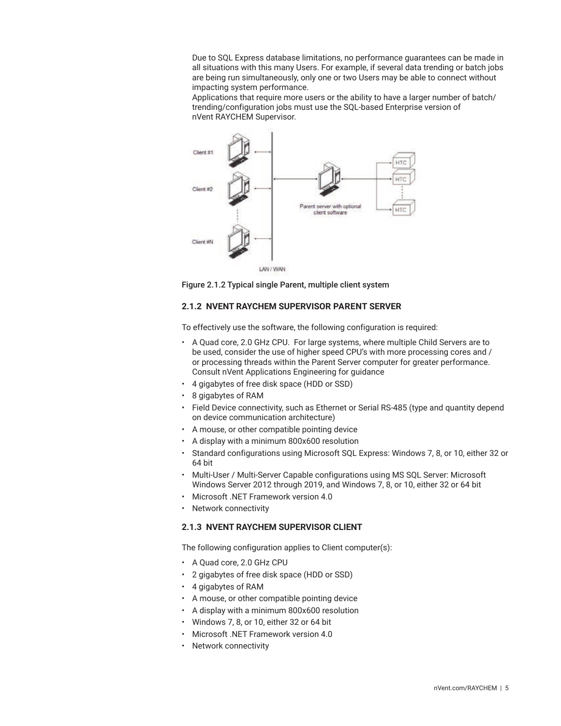<span id="page-4-0"></span>Due to SQL Express database limitations, no performance guarantees can be made in all situations with this many Users. For example, if several data trending or batch jobs are being run simultaneously, only one or two Users may be able to connect without impacting system performance.

Applications that require more users or the ability to have a larger number of batch/ trending/configuration jobs must use the SQL-based Enterprise version of nVent RAYCHEM Supervisor.



Figure 2.1.2 Typical single Parent, multiple client system

# **2.1.2 NVENT RAYCHEM SUPERVISOR PARENT SERVER**

To effectively use the software, the following configuration is required:

- A Quad core, 2.0 GHz CPU. For large systems, where multiple Child Servers are to be used, consider the use of higher speed CPU's with more processing cores and / or processing threads within the Parent Server computer for greater performance. Consult nVent Applications Engineering for guidance
- 4 gigabytes of free disk space (HDD or SSD)
- 8 gigabytes of RAM
- Field Device connectivity, such as Ethernet or Serial RS-485 (type and quantity depend on device communication architecture)
- A mouse, or other compatible pointing device
- A display with a minimum 800x600 resolution
- Standard configurations using Microsoft SQL Express: Windows 7, 8, or 10, either 32 or 64 bit
- Multi-User / Multi-Server Capable configurations using MS SQL Server: Microsoft Windows Server 2012 through 2019, and Windows 7, 8, or 10, either 32 or 64 bit
- Microsoft .NET Framework version 4.0
- Network connectivity

# **2.1.3 NVENT RAYCHEM SUPERVISOR CLIENT**

The following configuration applies to Client computer(s):

- A Quad core, 2.0 GHz CPU
- 2 gigabytes of free disk space (HDD or SSD)
- 4 gigabytes of RAM
- A mouse, or other compatible pointing device
- A display with a minimum 800x600 resolution
- Windows 7, 8, or 10, either 32 or 64 bit
- Microsoft .NET Framework version 4.0
- Network connectivity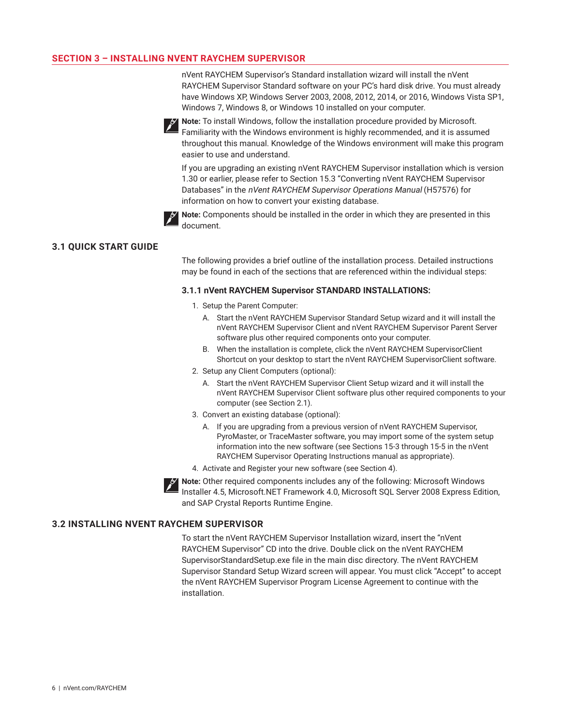## <span id="page-5-0"></span>**SECTION 3 – INSTALLING NVENT RAYCHEM SUPERVISOR**

nVent RAYCHEM Supervisor's Standard installation wizard will install the nVent RAYCHEM Supervisor Standard software on your PC's hard disk drive. You must already have Windows XP, Windows Server 2003, 2008, 2012, 2014, or 2016, Windows Vista SP1, Windows 7, Windows 8, or Windows 10 installed on your computer.



**Note:** To install Windows, follow the installation procedure provided by Microsoft. Familiarity with the Windows environment is highly recommended, and it is assumed throughout this manual. Knowledge of the Windows environment will make this program easier to use and understand.

If you are upgrading an existing nVent RAYCHEM Supervisor installation which is version 1.30 or earlier, please refer to Section 15.3 "Converting nVent RAYCHEM Supervisor Databases" in the nVent RAYCHEM Supervisor Operations Manual (H57576) for information on how to convert your existing database.



**Note:** Components should be installed in the order in which they are presented in this document.

## **3.1 QUICK START GUIDE**

The following provides a brief outline of the installation process. Detailed instructions may be found in each of the sections that are referenced within the individual steps:

#### **3.1.1 nVent RAYCHEM Supervisor STANDARD INSTALLATIONS:**

- 1. Setup the Parent Computer:
	- A. Start the nVent RAYCHEM Supervisor Standard Setup wizard and it will install the nVent RAYCHEM Supervisor Client and nVent RAYCHEM Supervisor Parent Server software plus other required components onto your computer.
	- B. When the installation is complete, click the nVent RAYCHEM SupervisorClient Shortcut on your desktop to start the nVent RAYCHEM SupervisorClient software.
- 2. Setup any Client Computers (optional):
	- A. Start the nVent RAYCHEM Supervisor Client Setup wizard and it will install the nVent RAYCHEM Supervisor Client software plus other required components to your computer (see Section 2.1).
- 3. Convert an existing database (optional):
	- A. If you are upgrading from a previous version of nVent RAYCHEM Supervisor, PyroMaster, or TraceMaster software, you may import some of the system setup information into the new software (see Sections 15-3 through 15-5 in the nVent RAYCHEM Supervisor Operating Instructions manual as appropriate).
- 4. Activate and Register your new software (see Section 4).
- **Note:** Other required components includes any of the following: Microsoft Windows Installer 4.5, Microsoft.NET Framework 4.0, Microsoft SQL Server 2008 Express Edition, and SAP Crystal Reports Runtime Engine.

# **3.2 INSTALLING NVENT RAYCHEM SUPERVISOR**

To start the nVent RAYCHEM Supervisor Installation wizard, insert the "nVent RAYCHEM Supervisor" CD into the drive. Double click on the nVent RAYCHEM SupervisorStandardSetup.exe file in the main disc directory. The nVent RAYCHEM Supervisor Standard Setup Wizard screen will appear. You must click "Accept" to accept the nVent RAYCHEM Supervisor Program License Agreement to continue with the installation.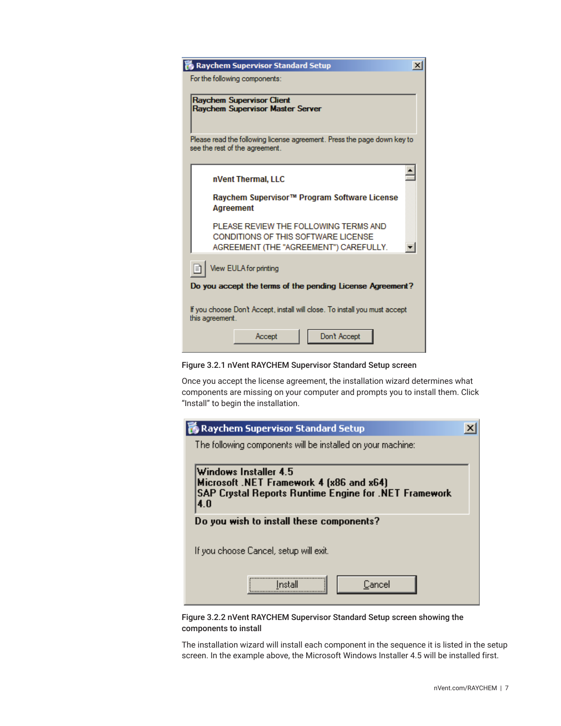| <b>Raychem Supervisor Standard Setup</b><br>$\times$                                                                   |
|------------------------------------------------------------------------------------------------------------------------|
| For the following components:                                                                                          |
| <b>Raychem Supervisor Client</b><br><b>Raychem Supervisor Master Server</b>                                            |
| Please read the following license agreement. Press the page down key to<br>see the rest of the agreement.              |
| nVent Thermal, LLC                                                                                                     |
| Raychem Supervisor™ Program Software License<br>Agreement                                                              |
| PLEASE REVIEW THE FOLLOWING TERMS AND<br>CONDITIONS OF THIS SOFTWARE LICENSE<br>AGREEMENT (THE "AGREEMENT") CAREFULLY. |
| View EULA for printing                                                                                                 |
| Do you accept the terms of the pending License Agreement?                                                              |
| If you choose Don't Accept, install will close. To install you must accept<br>this agreement.                          |
| Don't Accept<br>Accept                                                                                                 |

Figure 3.2.1 nVent RAYCHEM Supervisor Standard Setup screen

Once you accept the license agreement, the installation wizard determines what components are missing on your computer and prompts you to install them. Click "Install" to begin the installation.

| Raychem Supervisor Standard Setup                                                                                                |  |
|----------------------------------------------------------------------------------------------------------------------------------|--|
| The following components will be installed on your machine:                                                                      |  |
| Windows Installer 4.5<br>Microsoft .NET Framework 4 (x86 and x64)<br>SAP Crystal Reports Runtime Engine for .NET Framework<br>40 |  |
| Do you wish to install these components?                                                                                         |  |
| If you choose Cancel, setup will exit.                                                                                           |  |
| Cancel<br>Instal                                                                                                                 |  |

Figure 3.2.2 nVent RAYCHEM Supervisor Standard Setup screen showing the components to install

The installation wizard will install each component in the sequence it is listed in the setup screen. In the example above, the Microsoft Windows Installer 4.5 will be installed first.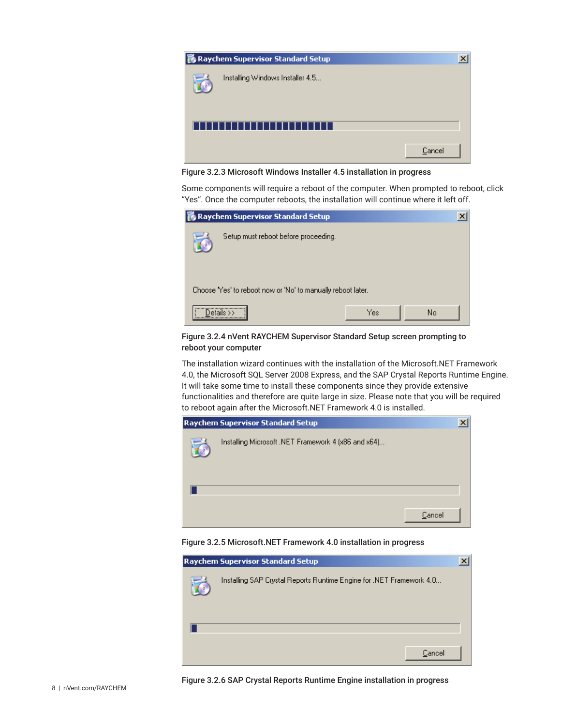

Figure 3.2.3 Microsoft Windows Installer 4.5 installation in progress

Some components will require a reboot of the computer. When prompted to reboot, click "Yes". Once the computer reboots, the installation will continue where it left off.

| Raychem Supervisor Standard Setup                            |     | $\boldsymbol{\mathsf{x}}$ |
|--------------------------------------------------------------|-----|---------------------------|
| Setup must reboot before proceeding.                         |     |                           |
| Choose 'Yes' to reboot now or 'No' to manually reboot later. |     |                           |
|                                                              | Yes | No                        |

Figure 3.2.4 nVent RAYCHEM Supervisor Standard Setup screen prompting to reboot your computer

The installation wizard continues with the installation of the Microsoft.NET Framework 4.0, the Microsoft SQL Server 2008 Express, and the SAP Crystal Reports Runtime Engine. It will take some time to install these components since they provide extensive functionalities and therefore are quite large in size. Please note that you will be required to reboot again after the Microsoft.NET Framework 4.0 is installed.



Figure 3.2.5 Microsoft.NET Framework 4.0 installation in progress

| <b>Raychem Supervisor Standard Setup</b>                             |  |
|----------------------------------------------------------------------|--|
| Installing SAP Crystal Reports Runtime Engine for .NET Framework 4.0 |  |
|                                                                      |  |
| Cancel                                                               |  |

Figure 3.2.6 SAP Crystal Reports Runtime Engine installation in progress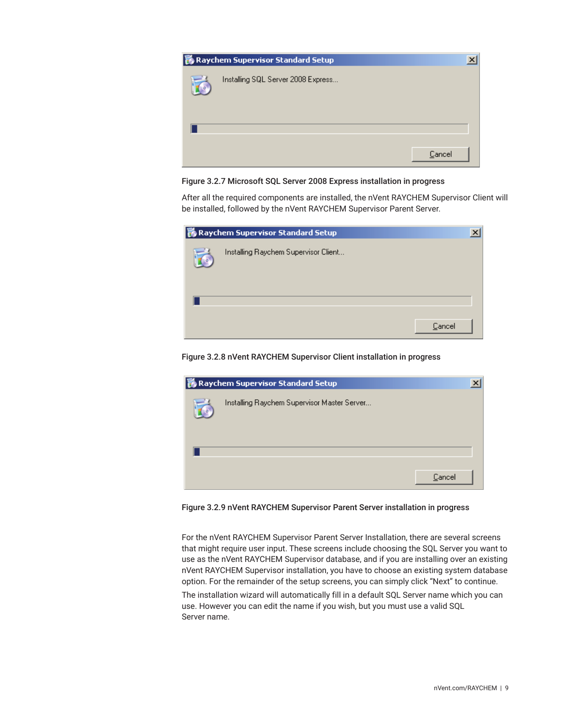

Figure 3.2.7 Microsoft SQL Server 2008 Express installation in progress

After all the required components are installed, the nVent RAYCHEM Supervisor Client will be installed, followed by the nVent RAYCHEM Supervisor Parent Server.

| <b>影 Raychem Supervisor Standard Setup</b> | $\times$ |
|--------------------------------------------|----------|
| Installing Raychem Supervisor Client       |          |
|                                            |          |
|                                            |          |
| Cancel                                     |          |

Figure 3.2.8 nVent RAYCHEM Supervisor Client installation in progress



Figure 3.2.9 nVent RAYCHEM Supervisor Parent Server installation in progress

For the nVent RAYCHEM Supervisor Parent Server Installation, there are several screens that might require user input. These screens include choosing the SQL Server you want to use as the nVent RAYCHEM Supervisor database, and if you are installing over an existing nVent RAYCHEM Supervisor installation, you have to choose an existing system database option. For the remainder of the setup screens, you can simply click "Next" to continue.

The installation wizard will automatically fill in a default SQL Server name which you can use. However you can edit the name if you wish, but you must use a valid SQL Server name.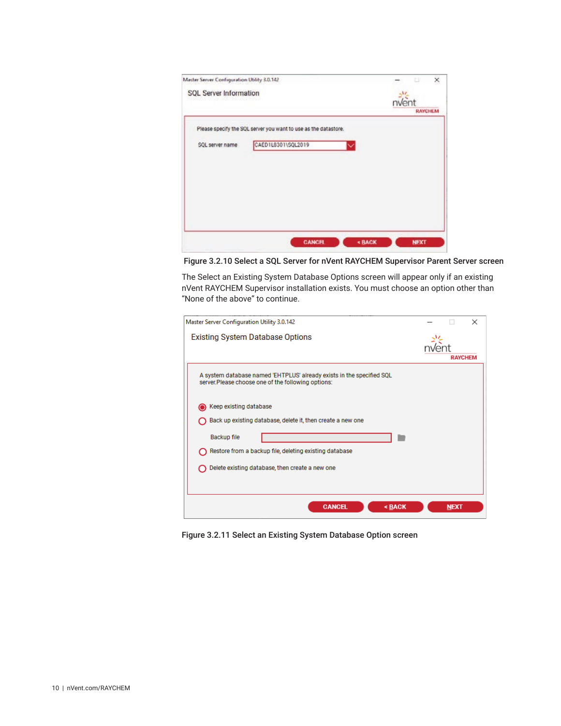|                    | ×<br>Ð                                                                                                                                          |
|--------------------|-------------------------------------------------------------------------------------------------------------------------------------------------|
|                    | nvent                                                                                                                                           |
|                    | <b>RAYCHEM</b>                                                                                                                                  |
|                    |                                                                                                                                                 |
| CAED1L8301\SQL2019 |                                                                                                                                                 |
|                    |                                                                                                                                                 |
|                    |                                                                                                                                                 |
|                    |                                                                                                                                                 |
|                    |                                                                                                                                                 |
|                    |                                                                                                                                                 |
|                    |                                                                                                                                                 |
|                    | Master Server Configuration Utility 3.0.142<br><b>SQL Server Information</b><br>Please specify the SQL server you want to use as the datastore. |

Figure 3.2.10 Select a SQL Server for nVent RAYCHEM Supervisor Parent Server screen

The Select an Existing System Database Options screen will appear only if an existing nVent RAYCHEM Supervisor installation exists. You must choose an option other than "None of the above" to continue.

| Master Server Configuration Utility 3.0.142                                                                                                                                                                              |                | × |
|--------------------------------------------------------------------------------------------------------------------------------------------------------------------------------------------------------------------------|----------------|---|
| Existing System Database Options                                                                                                                                                                                         | <b>RAYCHEM</b> |   |
| A system database named 'EHTPLUS' already exists in the specified SQL<br>server. Please choose one of the following options:                                                                                             |                |   |
| Keep existing database<br>Back up existing database, delete it, then create a new one<br><b>Backup file</b><br>Restore from a backup file, deleting existing database<br>Delete existing database, then create a new one |                |   |
| <b>CANCEL</b><br><back< td=""><td><b>NEXT</b></td><td></td></back<>                                                                                                                                                      | <b>NEXT</b>    |   |

Figure 3.2.11 Select an Existing System Database Option screen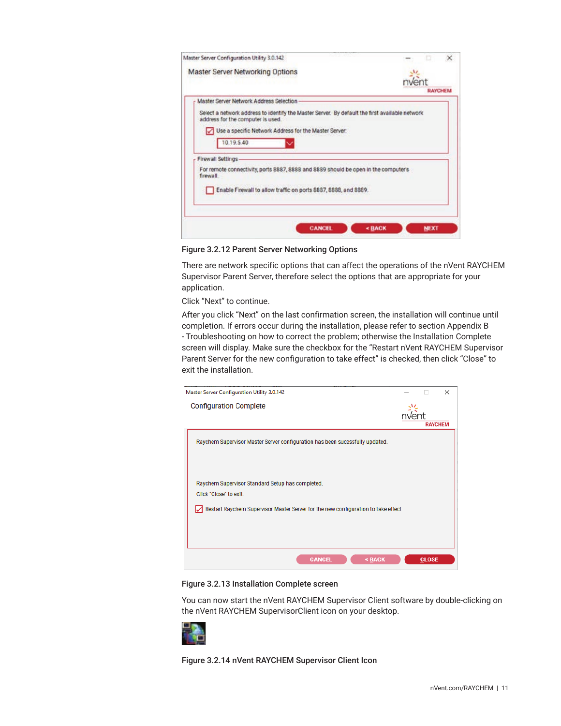<span id="page-10-0"></span>

| Master Server Configuration Utility 3.0.142                                                                                         |                       |
|-------------------------------------------------------------------------------------------------------------------------------------|-----------------------|
| Master Server Networking Options                                                                                                    |                       |
|                                                                                                                                     |                       |
|                                                                                                                                     | <b><i>RAYCHEM</i></b> |
| Master Server Network Address Selection                                                                                             |                       |
| Select a network address to identify the Master Server. By default the first available network<br>address for the computer is used. |                       |
| Use a specific Network Address for the Master Server:                                                                               |                       |
| 10.19.5.40                                                                                                                          |                       |
| Firewall Settings                                                                                                                   |                       |
| For remote connectivity, ports 8887, 8888 and 8889 should be open in the computer's-<br>firewall                                    |                       |
| Enable Firewall to allow traffic on ports 8887, 8888, and 8889.                                                                     |                       |
|                                                                                                                                     |                       |
| <b>CANCEL</b>                                                                                                                       | « BACK<br><b>NEXT</b> |

Figure 3.2.12 Parent Server Networking Options

There are network specific options that can affect the operations of the nVent RAYCHEM Supervisor Parent Server, therefore select the options that are appropriate for your application.

Click "Next" to continue.

After you click "Next" on the last confirmation screen, the installation will continue until completion. If errors occur during the installation, please refer to section Appendix B - Troubleshooting on how to correct the problem; otherwise the Installation Complete screen will display. Make sure the checkbox for the "Restart nVent RAYCHEM Supervisor Parent Server for the new configuration to take effect" is checked, then click "Close" to exit the installation.

| Master Server Configuration Utility 3.0.142                                                                                                                         |                | $\times$ |
|---------------------------------------------------------------------------------------------------------------------------------------------------------------------|----------------|----------|
| <b>Configuration Complete</b>                                                                                                                                       | <b>RAYCHEM</b> |          |
| Raychem Supervisor Master Server configuration has been sucessfully updated.                                                                                        |                |          |
| Raychem Supervisor Standard Setup has completed.<br>Click "Close" to exit<br>Restart Raychem Supervisor Master Server for the new configuration to take effect<br>⋉ |                |          |
| <b>CANCEL</b><br><back< td=""><td><b>CLOSE</b></td><td></td></back<>                                                                                                | <b>CLOSE</b>   |          |

Figure 3.2.13 Installation Complete screen

You can now start the nVent RAYCHEM Supervisor Client software by double-clicking on the nVent RAYCHEM SupervisorClient icon on your desktop.



Figure 3.2.14 nVent RAYCHEM Supervisor Client Icon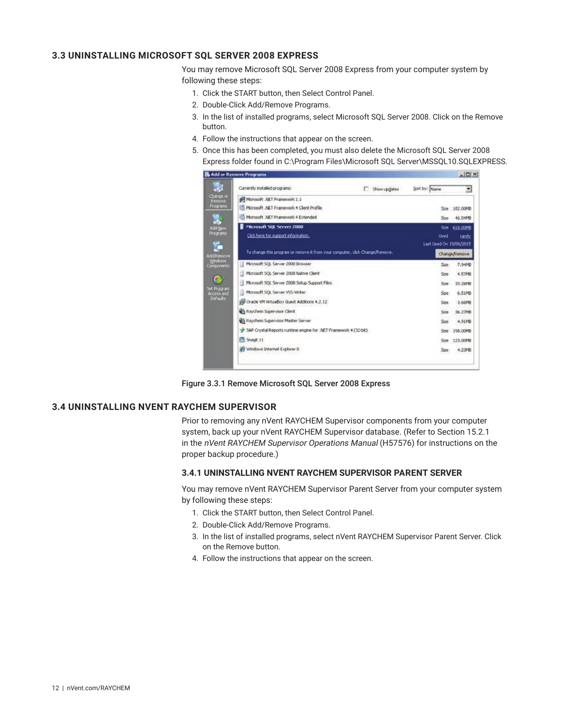# <span id="page-11-0"></span>**3.3 UNINSTALLING MICROSOFT SQL SERVER 2008 EXPRESS**

You may remove Microsoft SQL Server 2008 Express from your computer system by following these steps:

- 1. Click the START button, then Select Control Panel.
- 2. Double-Click Add/Remove Programs.
- 3. In the list of installed programs, select Microsoft SQL Server 2008. Click on the Remove button.
- 4. Follow the instructions that appear on the screen.
- 5. Once this has been completed, you must also delete the Microsoft SQL Server 2008 Express folder found in C:\Program Files\Microsoft SQL Server\MSSQL10.SQLEXPRESS.

| Currently installed programs:                                               | <b>Show updates</b> | Sort by: Name           | ×             |
|-----------------------------------------------------------------------------|---------------------|-------------------------|---------------|
| Mcrosoft .NET Framework 1.1                                                 |                     |                         |               |
| Microsoft .NET Framework 4 Client Profile                                   |                     |                         | Sce 182,00MD  |
| Microsoft .NET Framework 4 Extended                                         |                     | See:                    | 46.04MB       |
| Microsoft SQL Server 2008                                                   |                     | Spe                     | 618,0098      |
| Click here for support information.                                         |                     | Used                    | ranchy        |
|                                                                             |                     | Last Used On 10/06/2015 |               |
| To change this program or remove it from your computer, click Change/Remove |                     |                         | Change/Remove |
| Microsoft SQL Server 2000 Browser                                           |                     | Sae                     | 7,94MB        |
| Microsoft SQL Server 2008 Native Client                                     |                     | Sze                     | 4.57MB        |
| a<br>Microsoft SQL Server 2008 Sebup Support Files                          |                     | Size                    | 33.26MB       |
| Microsoft SQL Server VSS Writer<br>а                                        |                     | Sae                     | 6.51MB        |
| Oracle VM VirtualBox Guest Additions 4.2.12                                 |                     | Sze                     | 3.66MB        |
| Raychem Supervisor Clent                                                    |                     | Size                    | 36.27MB       |
| Raychem Supervisor Master Server                                            |                     | $S_{20}$                | 4.91MB        |
| SAP Crystal Reports runtime engine for .NET Framework 4 (32-bit)            |                     | Sone                    | 198,00MB      |
| Snagt 11                                                                    |                     | Son                     | 123,00MH      |
| 99 Windows Internet Explorer II                                             |                     | 22e                     | 4.23MB        |

Figure 3.3.1 Remove Microsoft SQL Server 2008 Express

#### **3.4 UNINSTALLING NVENT RAYCHEM SUPERVISOR**

Prior to removing any nVent RAYCHEM Supervisor components from your computer system, back up your nVent RAYCHEM Supervisor database. (Refer to Section 15.2.1 in the nVent RAYCHEM Supervisor Operations Manual (H57576) for instructions on the proper backup procedure.)

#### **3.4.1 UNINSTALLING NVENT RAYCHEM SUPERVISOR PARENT SERVER**

You may remove nVent RAYCHEM Supervisor Parent Server from your computer system by following these steps:

- 1. Click the START button, then Select Control Panel.
- 2. Double-Click Add/Remove Programs.
- 3. In the list of installed programs, select nVent RAYCHEM Supervisor Parent Server. Click on the Remove button.
- 4. Follow the instructions that appear on the screen.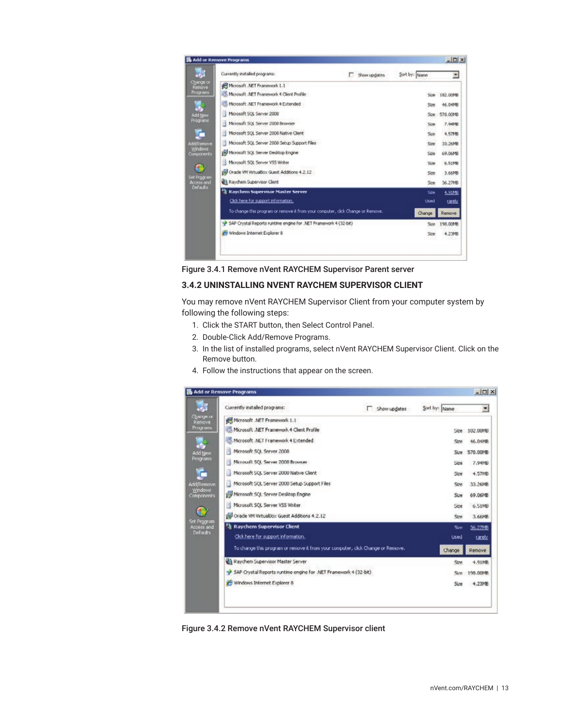<span id="page-12-0"></span>

| Currently installed programs:                                                   | Show updates<br>n | Sort by: Name     | $\overline{\mathcal{L}}$ |
|---------------------------------------------------------------------------------|-------------------|-------------------|--------------------------|
| Microsoft .NET Framework 1.1                                                    |                   |                   |                          |
| -5. Microsoft .NET Framework 4 Client Profile                                   |                   |                   | Size 182,00MB            |
| Microsoft .NET Framework 4 Extended                                             |                   | Size              | 46.04MB                  |
| Microsoft SQL Server 2000                                                       |                   | Size:             | 578.00MB                 |
| Microsoft SQL Server 2008 Browser                                               |                   | Size              | 7.94548                  |
| Microsoft SQL Server 2008 Native Client                                         |                   | Sizir             | 4.57MB                   |
| Microsoft SQL Server 2000 Setup Support Files                                   |                   | Size              | 33.26MB                  |
| Microsoft SQL Server Desktop Engine                                             |                   | Site.             | 69.06MB                  |
| H Microsoft SQL Server VSS Writer                                               |                   | Size:             | 6.51MB                   |
| G Cracle VM VirtualBox Guest Additions 4.2.12                                   |                   | Sae               | 3.66MB                   |
| Raychem Supervisor Client                                                       |                   | Stre              | 36.27MB                  |
| <sup>2</sup> Raychem Supervisor Master Server                                   |                   | Sae               | 4.91MD                   |
| Click here for support information.                                             |                   | <b>Used</b>       | carety                   |
| To change this program or remove it from your computer, click Change or Remove. |                   | Change            | Remove                   |
| SAP Crystal Reports runtime engine for .NET Framework 4 (32-bit)                |                   | Sizir             | 198.00MB                 |
| Windows Internet Explorer 8                                                     |                   | Size <sup>®</sup> | 4.23MB                   |

Figure 3.4.1 Remove nVent RAYCHEM Supervisor Parent server

## **3.4.2 UNINSTALLING NVENT RAYCHEM SUPERVISOR CLIENT**

You may remove nVent RAYCHEM Supervisor Client from your computer system by following the following steps:

- 1. Click the START button, then Select Control Panel.
- 2. Double-Click Add/Remove Programs.
- 3. In the list of installed programs, select nVent RAYCHEM Supervisor Client. Click on the Remove button.
- 4. Follow the instructions that appear on the screen.

|                           | Add or Remove Programs                                                          |              |               | $ \Box$ $\times$ |
|---------------------------|---------------------------------------------------------------------------------|--------------|---------------|------------------|
| đ.                        | Currently installed programs:                                                   | Show updates | Sort by: Name | ×                |
| Change or<br>Remove       | Microsoft .NET Framework 1.1                                                    |              |               |                  |
| Programs                  | Microsoft .NET Framework 4 Client Profile                                       |              | 50%           | 102.00MB         |
|                           | Microsoft .NET Framework 4 Extended                                             |              | Size          | 46.04MB          |
| Add New                   | Ħ<br>Microsoft SQL Server 2008                                                  |              | <b>Size</b>   | S78,00MB         |
| Programs                  | Microsoft SQL Server 2008 Browser                                               |              | 526           | 7.94MD           |
|                           | Microsoft SQL Server 2000 Native Client                                         |              | Sze           | 4.57MB           |
| Additemove                | Ħ<br>Microsoft SQL Server 2008 Setup Support Files                              |              | Size          | 33.26MB          |
| Windows<br>Components     | Microsoft SQL Server Desktop Engine                                             |              | 526           | 69.06MB          |
|                           | Microsoft SQL Server VSS Writer<br>Ħ                                            |              | Size          | 6.51MB           |
|                           | Tel Oracle VM VirtualDox Guest Additions 4.2.12                                 |              | Sze           | 3.66MB           |
| Set Program<br>Access and | Raychem Supervisor Client                                                       |              | Size          | 36.27MB          |
| Defaults:                 | Click here for support information.                                             |              | Used          | rarety           |
|                           | To change this program or remove it from your computer, click Change or Remove. |              | Change        | Remove           |
|                           | Raychem Supervisor Master Server                                                |              | 520           | 4.91MB           |
|                           | SAP Crystal Reports runtime engine for .NET Framework 4 (32-bit)                |              | Steet         | 198.00MB         |
|                           | Windows Internet Explorer 8                                                     |              | Size:         | 4,23MB           |
|                           |                                                                                 |              |               |                  |
|                           |                                                                                 |              |               |                  |
|                           |                                                                                 |              |               |                  |

Figure 3.4.2 Remove nVent RAYCHEM Supervisor client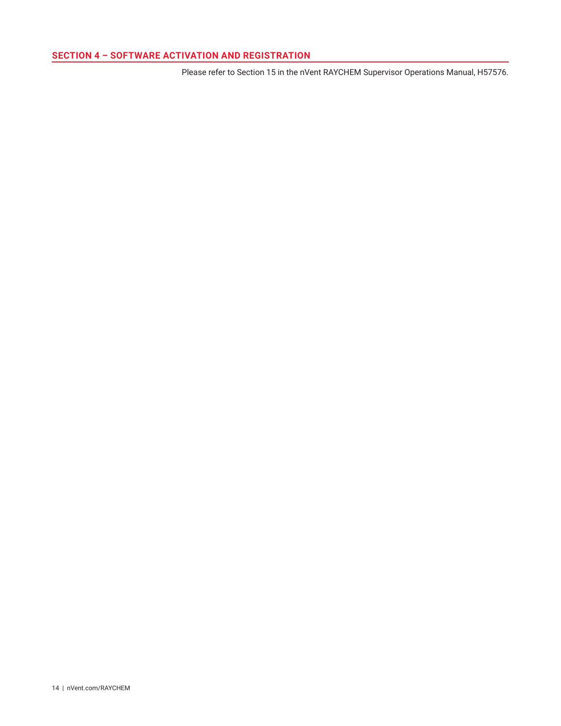# <span id="page-13-0"></span>**SECTION 4 – SOFTWARE ACTIVATION AND REGISTRATION**

Please refer to Section 15 in the nVent RAYCHEM Supervisor Operations Manual, H57576.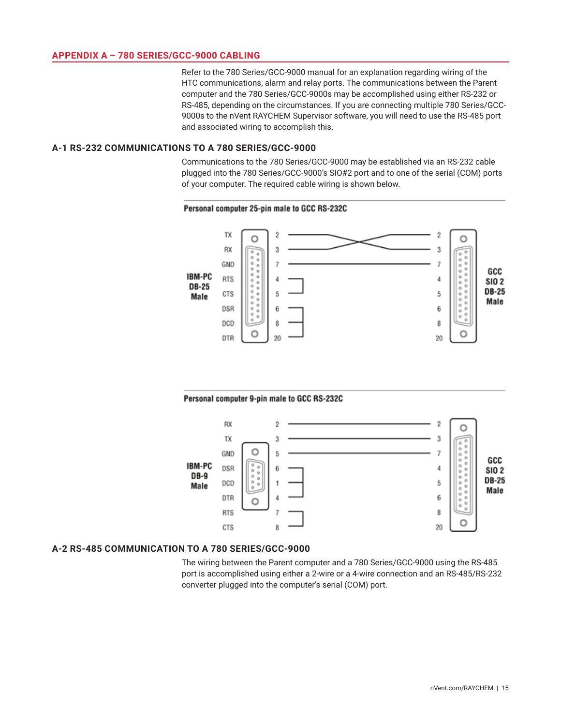## <span id="page-14-0"></span>**APPENDIX A – 780 SERIES/GCC-9000 CABLING**

Refer to the 780 Series/GCC-9000 manual for an explanation regarding wiring of the HTC communications, alarm and relay ports. The communications between the Parent computer and the 780 Series/GCC-9000s may be accomplished using either RS-232 or RS-485, depending on the circumstances. If you are connecting multiple 780 Series/GCC-9000s to the nVent RAYCHEM Supervisor software, you will need to use the RS-485 port and associated wiring to accomplish this.

## **A-1 RS-232 COMMUNICATIONS TO A 780 SERIES/GCC-9000**

Communications to the 780 Series/GCC-9000 may be established via an RS-232 cable plugged into the 780 Series/GCC-9000's SIO#2 port and to one of the serial (COM) ports of your computer. The required cable wiring is shown below.

#### Personal computer 25-pin male to GCC RS-232C



#### Personal computer 9-pin male to GCC RS-232C



#### **A-2 RS-485 COMMUNICATION TO A 780 SERIES/GCC-9000**

The wiring between the Parent computer and a 780 Series/GCC-9000 using the RS-485 port is accomplished using either a 2-wire or a 4-wire connection and an RS-485/RS-232 converter plugged into the computer's serial (COM) port.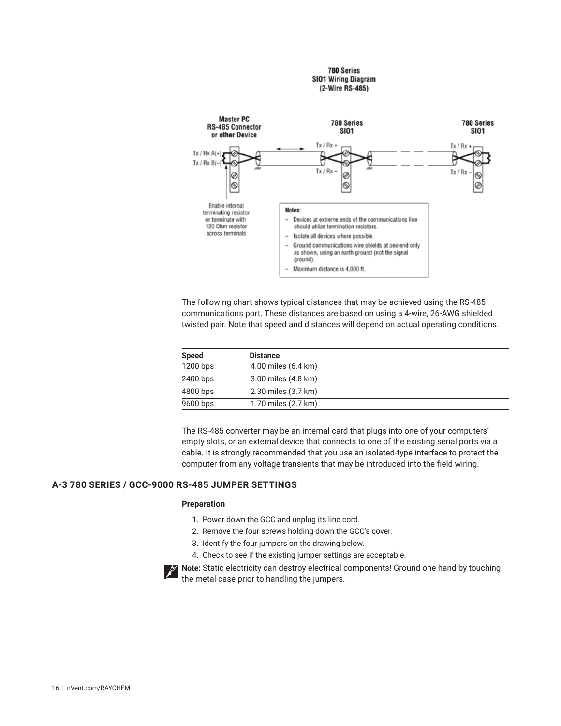#### 780 Series **SIO1 Wiring Diagram** (2-Wire RS-485)

<span id="page-15-0"></span>

The following chart shows typical distances that may be achieved using the RS-485 communications port. These distances are based on using a 4-wire, 26-AWG shielded twisted pair. Note that speed and distances will depend on actual operating conditions.

| <b>Speed</b> | <b>Distance</b>     |  |
|--------------|---------------------|--|
| 1200 bps     | 4.00 miles (6.4 km) |  |
| 2400 bps     | 3.00 miles (4.8 km) |  |
| 4800 bps     | 2.30 miles (3.7 km) |  |
| 9600 bps     | 1.70 miles (2.7 km) |  |

The RS-485 converter may be an internal card that plugs into one of your computers' empty slots, or an external device that connects to one of the existing serial ports via a cable. It is strongly recommended that you use an isolated-type interface to protect the computer from any voltage transients that may be introduced into the field wiring.

# **A-3 780 SERIES / GCC-9000 RS-485 JUMPER SETTINGS**

#### **Preparation**

- 1. Power down the GCC and unplug its line cord.
- 2. Remove the four screws holding down the GCC's cover.
- 3. Identify the four jumpers on the drawing below.
- 4. Check to see if the existing jumper settings are acceptable.

**Note:** Static electricity can destroy electrical components! Ground one hand by touching the metal case prior to handling the jumpers.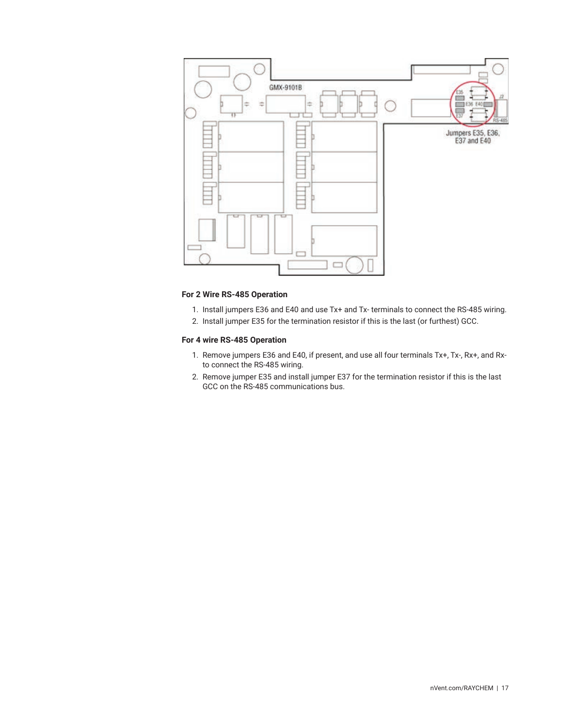

# **For 2 Wire RS-485 Operation**

- 1. Install jumpers E36 and E40 and use Tx+ and Tx- terminals to connect the RS-485 wiring.
- 2. Install jumper E35 for the termination resistor if this is the last (or furthest) GCC.

## **For 4 wire RS-485 Operation**

- 1. Remove jumpers E36 and E40, if present, and use all four terminals Tx+, Tx-, Rx+, and Rxto connect the RS-485 wiring.
- 2. Remove jumper E35 and install jumper E37 for the termination resistor if this is the last GCC on the RS-485 communications bus.